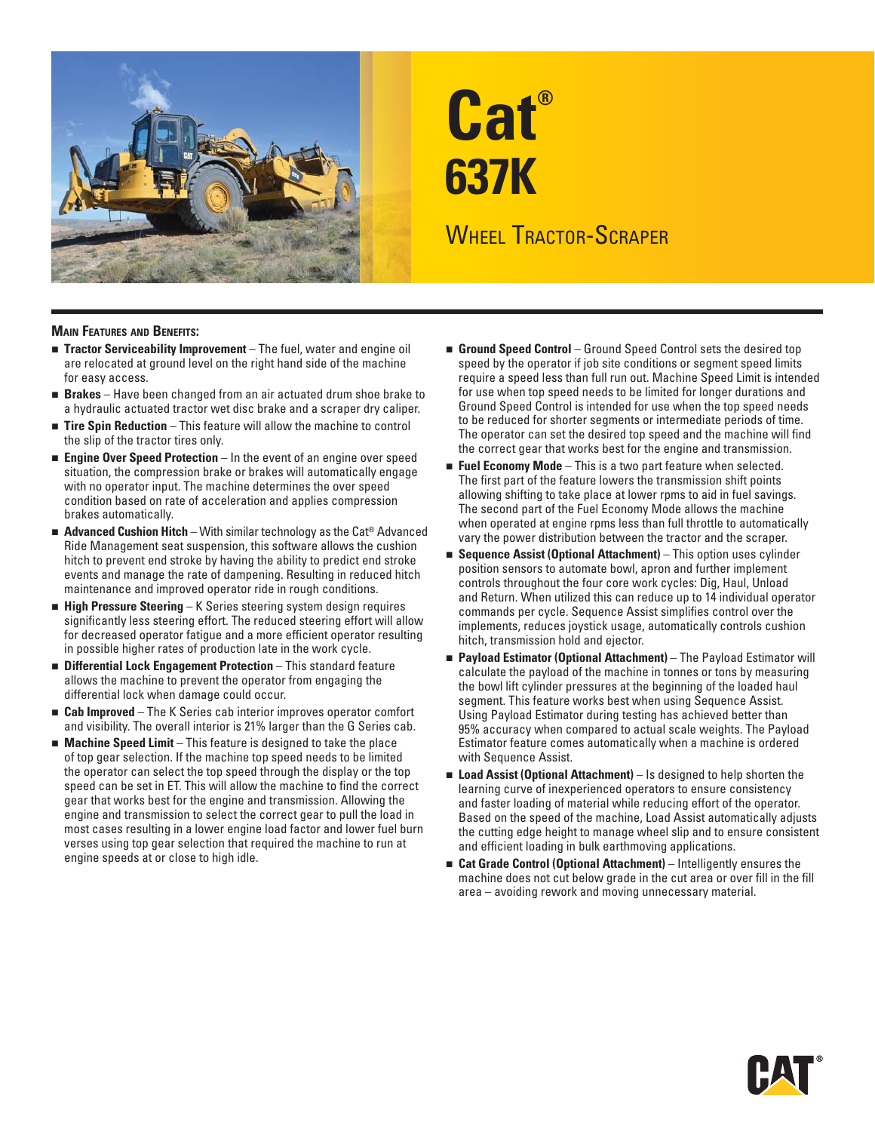

# **Cat® 637K**

# WHEEL TRACTOR-SCRAPER

#### **MAIN FEATURES AND BENEFITS:**

- **Tractor Serviceability Improvement** The fuel, water and engine oil are relocated at ground level on the right hand side of the machine for easy access.
- **Brakes** Have been changed from an air actuated drum shoe brake to a hydraulic actuated tractor wet disc brake and a scraper dry caliper.
- **Tire Spin Reduction** This feature will allow the machine to control the slip of the tractor tires only.
- **Engine Over Speed Protection** In the event of an engine over speed situation, the compression brake or brakes will automatically engage with no operator input. The machine determines the over speed condition based on rate of acceleration and applies compression brakes automatically.
- **Advanced Cushion Hitch** With similar technology as the Cat<sup>®</sup> Advanced Ride Management seat suspension, this software allows the cushion hitch to prevent end stroke by having the ability to predict end stroke events and manage the rate of dampening. Resulting in reduced hitch maintenance and improved operator ride in rough conditions.
- **High Pressure Steering** K Series steering system design requires significantly less steering effort. The reduced steering effort will allow for decreased operator fatigue and a more efficient operator resulting in possible higher rates of production late in the work cycle.
- **Differential Lock Engagement Protection** This standard feature allows the machine to prevent the operator from engaging the differential lock when damage could occur.
- **Cab Improved** The K Series cab interior improves operator comfort and visibility. The overall interior is 21% larger than the G Series cab.
- **Machine Speed Limit** This feature is designed to take the place of top gear selection. If the machine top speed needs to be limited the operator can select the top speed through the display or the top speed can be set in ET. This will allow the machine to find the correct gear that works best for the engine and transmission. Allowing the engine and transmission to select the correct gear to pull the load in most cases resulting in a lower engine load factor and lower fuel burn verses using top gear selection that required the machine to run at engine speeds at or close to high idle.
- **Ground Speed Control** Ground Speed Control sets the desired top speed by the operator if job site conditions or segment speed limits require a speed less than full run out. Machine Speed Limit is intended for use when top speed needs to be limited for longer durations and Ground Speed Control is intended for use when the top speed needs to be reduced for shorter segments or intermediate periods of time. The operator can set the desired top speed and the machine will find the correct gear that works best for the engine and transmission.
- **Fuel Economy Mode** This is a two part feature when selected. The first part of the feature lowers the transmission shift points allowing shifting to take place at lower rpms to aid in fuel savings. The second part of the Fuel Economy Mode allows the machine when operated at engine rpms less than full throttle to automatically vary the power distribution between the tractor and the scraper.
- **Sequence Assist (Optional Attachment)** This option uses cylinder position sensors to automate bowl, apron and further implement controls throughout the four core work cycles: Dig, Haul, Unload and Return. When utilized this can reduce up to 14 individual operator commands per cycle. Sequence Assist simplifies control over the implements, reduces joystick usage, automatically controls cushion hitch, transmission hold and ejector.
- **Payload Estimator (Optional Attachment)** The Payload Estimator will calculate the payload of the machine in tonnes or tons by measuring the bowl lift cylinder pressures at the beginning of the loaded haul segment. This feature works best when using Sequence Assist. Using Payload Estimator during testing has achieved better than 95% accuracy when compared to actual scale weights. The Payload Estimator feature comes automatically when a machine is ordered with Sequence Assist.
- **Load Assist (Optional Attachment)** Is designed to help shorten the learning curve of inexperienced operators to ensure consistency and faster loading of material while reducing effort of the operator. Based on the speed of the machine, Load Assist automatically adjusts the cutting edge height to manage wheel slip and to ensure consistent and efficient loading in bulk earthmoving applications.
- **Cat Grade Control (Optional Attachment)** Intelligently ensures the machine does not cut below grade in the cut area or over fill in the fill area – avoiding rework and moving unnecessary material.

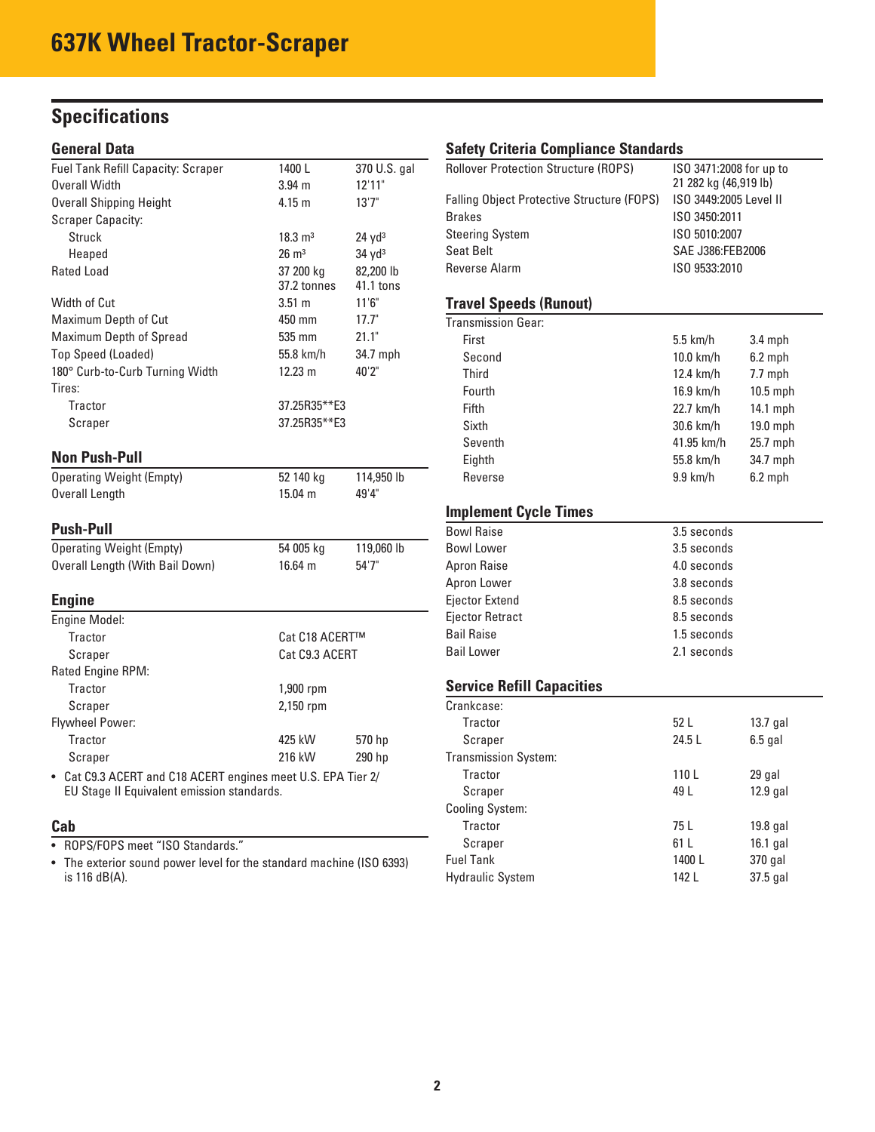# **Specifications**

# **General Data**

| <b>Fuel Tank Refill Capacity: Scraper</b>                                                                | 1400L                    | 370 U.S. gal           |  |  |
|----------------------------------------------------------------------------------------------------------|--------------------------|------------------------|--|--|
| Overall Width                                                                                            | 3.94 <sub>m</sub>        | 12'11"                 |  |  |
| <b>Overall Shipping Height</b>                                                                           | 4.15 m                   | 13'7''                 |  |  |
| <b>Scraper Capacity:</b>                                                                                 |                          |                        |  |  |
| <b>Struck</b>                                                                                            | $18.3 \text{ m}^3$       | 24 yd <sup>3</sup>     |  |  |
| Heaped                                                                                                   | $26 \text{ m}^3$         | 34 yd <sup>3</sup>     |  |  |
| Rated Load                                                                                               | 37 200 kg<br>37.2 tonnes | 82,200 lb<br>41.1 tons |  |  |
| Width of Cut                                                                                             | $3.51 \text{ m}$         | 11'6''                 |  |  |
| Maximum Depth of Cut                                                                                     | 450 mm                   | 17.7"                  |  |  |
| Maximum Depth of Spread                                                                                  | 535 mm                   | 21.1"                  |  |  |
| <b>Top Speed (Loaded)</b>                                                                                | 55.8 km/h                | 34.7 mph               |  |  |
| 180° Curb-to-Curb Turning Width                                                                          | $12.23 \text{ m}$        | 40'2"                  |  |  |
| Tires:                                                                                                   |                          |                        |  |  |
| Tractor                                                                                                  | 37.25R35**E3             |                        |  |  |
| Scraper                                                                                                  | 37.25R35**E3             |                        |  |  |
|                                                                                                          |                          |                        |  |  |
| Non Push-Pull                                                                                            |                          |                        |  |  |
| <b>Operating Weight (Empty)</b>                                                                          | 52 140 kg                | 114,950 lb             |  |  |
| Overall Length                                                                                           | 15.04 m                  | 49'4"                  |  |  |
|                                                                                                          |                          |                        |  |  |
| <b>Push-Pull</b>                                                                                         |                          |                        |  |  |
| <b>Operating Weight (Empty)</b>                                                                          | 54 005 kg                | 119,060 lb             |  |  |
| Overall Length (With Bail Down)                                                                          | 16.64 m                  | 54'7"                  |  |  |
|                                                                                                          |                          |                        |  |  |
| <b>Engine</b>                                                                                            |                          |                        |  |  |
| Engine Model:                                                                                            |                          |                        |  |  |
| <b>Tractor</b>                                                                                           | Cat C18 ACERT™           |                        |  |  |
| Scraper                                                                                                  | Cat C9.3 ACERT           |                        |  |  |
| Rated Engine RPM:                                                                                        |                          |                        |  |  |
| Tractor                                                                                                  | 1,900 rpm                |                        |  |  |
| Scraper                                                                                                  | 2,150 rpm                |                        |  |  |
| Flywheel Power:                                                                                          |                          |                        |  |  |
| Tractor                                                                                                  | 425 kW                   | 570 hp                 |  |  |
| Scraper                                                                                                  | 216 kW                   | 290 hp                 |  |  |
| Cat C9.3 ACERT and C18 ACERT engines meet U.S. EPA Tier 2/<br>EU Stage II Equivalent emission standards. |                          |                        |  |  |

**Cab**

• ROPS/FOPS meet "ISO Standards."

• The exterior sound power level for the standard machine (ISO 6393) is 116 dB(A).

# **Safety Criteria Compliance Standards**

| <b>Rollover Protection Structure (ROPS)</b>       | ISO 3471:2008 for up to<br>21 282 kg (46,919 lb) |
|---------------------------------------------------|--------------------------------------------------|
| <b>Falling Object Protective Structure (FOPS)</b> | ISO 3449:2005 Level II                           |
| <b>Brakes</b>                                     | ISO 3450:2011                                    |
| <b>Steering System</b>                            | ISO 5010:2007                                    |
| Seat Belt                                         | SAE J386:FEB2006                                 |
| Reverse Alarm                                     | ISO 9533:2010                                    |

# **Travel Speeds (Runout)**

| Transmission Gear: |             |            |
|--------------------|-------------|------------|
| First              | $5.5$ km/h  | $3.4$ mph  |
| Second             | $10.0$ km/h | $6.2$ mph  |
| <b>Third</b>       | 12.4 km/h   | $7.7$ mph  |
| Fourth             | $16.9$ km/h | $10.5$ mph |
| Fifth              | 22.7 km/h   | 14.1 mph   |
| Sixth              | 30.6 km/h   | $19.0$ mph |
| Seventh            | 41.95 km/h  | 25.7 mph   |
| Eighth             | 55.8 km/h   | 34.7 mph   |
| Reverse            | $9.9$ km/h  | $6.2$ mph  |
|                    |             |            |

# **Implement Cycle Times**

| <b>Bowl Raise</b>     | 3.5 seconds |
|-----------------------|-------------|
| <b>Bowl Lower</b>     | 3.5 seconds |
| Apron Raise           | 4.0 seconds |
| Apron Lower           | 3.8 seconds |
| <b>Ejector Extend</b> | 8.5 seconds |
| Ejector Retract       | 8.5 seconds |
| <b>Bail Raise</b>     | 1.5 seconds |
| <b>Bail Lower</b>     | 2.1 seconds |

# **Service Refill Capacities**

| Crankcase:                  |        |            |
|-----------------------------|--------|------------|
| Tractor                     | 52 L   | $13.7$ gal |
| Scraper                     | 24.5 L | $6.5$ gal  |
| <b>Transmission System:</b> |        |            |
| Tractor                     | 110L   | 29 gal     |
| Scraper                     | 49 L   | $12.9$ gal |
| Cooling System:             |        |            |
| Tractor                     | 75 L   | $19.8$ gal |
| Scraper                     | 61 L   | $16.1$ gal |
| <b>Fuel Tank</b>            | 1400L  | 370 gal    |
| <b>Hydraulic System</b>     | 142 L  | $37.5$ gal |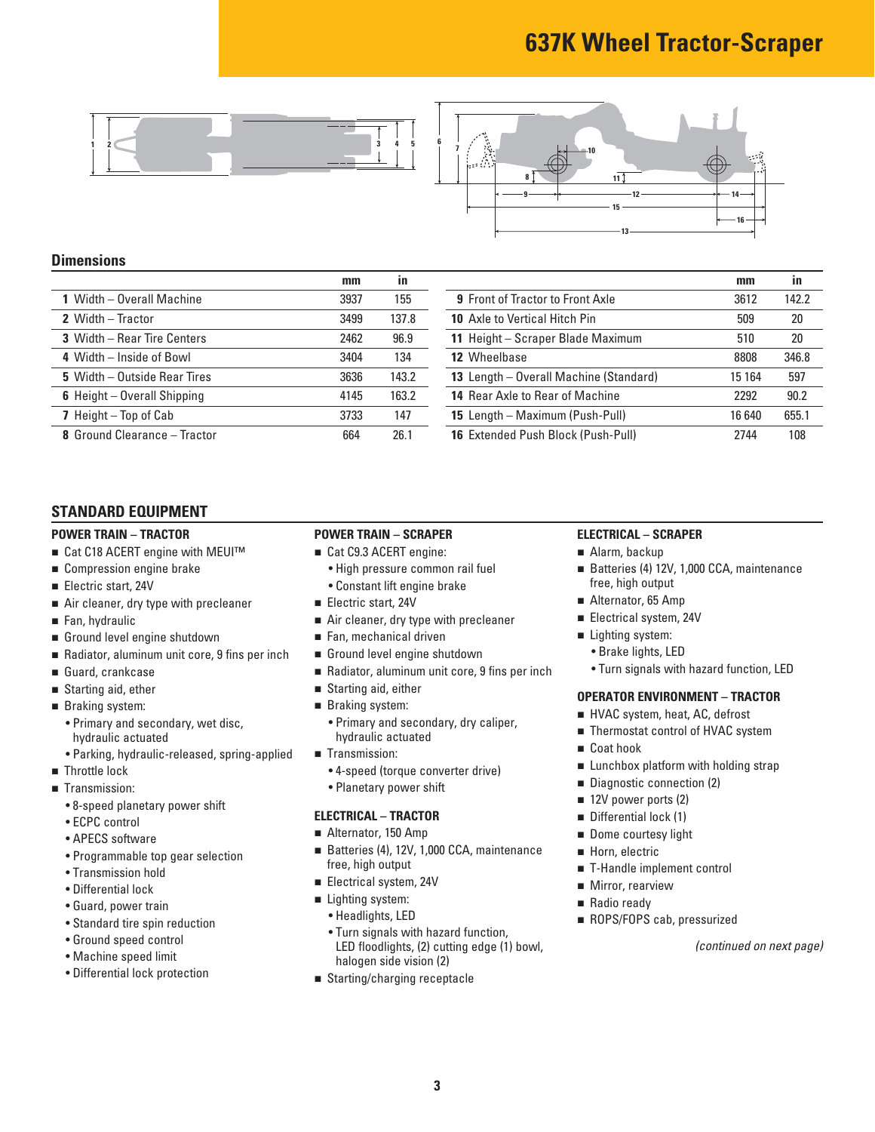# **637K Wheel Tractor-Scraper**





# **Dimensions**

|                                    | mm   | ın    |                                         | mm     | ın    |
|------------------------------------|------|-------|-----------------------------------------|--------|-------|
| 1 Width - Overall Machine          | 3937 | 155   | <b>9</b> Front of Tractor to Front Axle | 3612   | 142.2 |
| 2 Width - Tractor                  | 3499 | 137.8 | <b>10</b> Axle to Vertical Hitch Pin    | 509    | 20    |
| <b>3</b> Width – Rear Tire Centers | 2462 | 96.9  | 11 Height - Scraper Blade Maximum       | 510    | 20    |
| 4 Width - Inside of Bowl           | 3404 | 134   | 12 Wheelbase                            | 8808   | 346.8 |
| 5 Width - Outside Rear Tires       | 3636 | 143.2 | 13 Length - Overall Machine (Standard)  | 15 164 | 597   |
| <b>6</b> Height – Overall Shipping | 4145 | 163.2 | 14 Rear Axle to Rear of Machine         | 2292   | 90.2  |
| 7 Height – Top of Cab              | 3733 | 147   | 15 Length - Maximum (Push-Pull)         | 16 640 | 655.1 |
| 8 Ground Clearance - Tractor       | 664  | 26.1  | 16 Extended Push Block (Push-Pull)      | 2744   | 108   |

| mm   | in    |                                               | mm     | in    |
|------|-------|-----------------------------------------------|--------|-------|
| 3937 | 155   | <b>9</b> Front of Tractor to Front Axle       | 3612   | 142.2 |
| 3499 | 137.8 | <b>10</b> Axle to Vertical Hitch Pin          | 509    | 20    |
| 2462 | 96.9  | 11 Height - Scraper Blade Maximum             | 510    | 20    |
| 3404 | 134   | 12 Wheelbase                                  | 8808   | 346.8 |
| 3636 | 143.2 | <b>13</b> Length – Overall Machine (Standard) | 15 164 | 597   |
| 1145 | 163.2 | 14 Rear Axle to Rear of Machine               | 2292   | 90.2  |
| 3733 | 147   | 15 Length - Maximum (Push-Pull)               | 16 640 | 655.1 |
| 664  | 26.1  | 16 Extended Push Block (Push-Pull)            | 2744   | 108   |

# **STANDARD EQUIPMENT**

## **POWER TRAIN – TRACTOR**

- Cat C18 ACERT engine with MEUI<sup>™</sup>
- Compression engine brake
- **Electric start, 24V**
- Air cleaner, dry type with precleaner
- Fan, hydraulic
- Ground level engine shutdown
- Radiator, aluminum unit core, 9 fins per inch
- Guard, crankcase
- Starting aid, ether
- Braking system:
	- Primary and secondary, wet disc, hydraulic actuated
	- Parking, hydraulic-released, spring-applied
- Throttle lock
- Transmission:
	- 8-speed planetary power shift
	- ECPC control
	- APECS software
	- Programmable top gear selection
	- Transmission hold
	- Differential lock
	- Guard, power train
	- Standard tire spin reduction
	- Ground speed control
	- Machine speed limit
	- Differential lock protection

# **POWER TRAIN – SCRAPER**

- Cat C9.3 ACERT engine:
	- High pressure common rail fuel
- Constant lift engine brake
- Electric start, 24V
- Air cleaner, dry type with precleaner
- Fan, mechanical driven
- Ground level engine shutdown
- Radiator, aluminum unit core, 9 fins per inch
- Starting aid, either
- Braking system:
- Primary and secondary, dry caliper, hydraulic actuated
- **Transmission:** 
	- 4-speed (torque converter drive)
	- Planetary power shift

#### **ELECTRICAL – TRACTOR**

- Alternator, 150 Amp
- Batteries (4), 12V, 1,000 CCA, maintenance free, high output
- **Electrical system, 24V**
- Lighting system:
- Headlights, LED
	- Turn signals with hazard function, LED floodlights, (2) cutting edge (1) bowl, halogen side vision (2)
- Starting/charging receptacle

# **ELECTRICAL – SCRAPER**

- Alarm, backup
- Batteries (4) 12V, 1,000 CCA, maintenance free, high output
- Alternator, 65 Amp
- Electrical system, 24V
- Lighting system:
	- Brake lights, LED
	- Turn signals with hazard function, LED

#### **OPERATOR ENVIRONMENT – TRACTOR**

- HVAC system, heat, AC, defrost
- Thermostat control of HVAC system
- Coat hook
- **Lunchbox platform with holding strap**
- Diagnostic connection (2)
- 12V power ports (2)
- Differential lock (1)
- Dome courtesy light
- Horn, electric
- T-Handle implement control
- **Mirror**, rearview
- Radio ready
- ROPS/FOPS cab, pressurized

(continued on next page)